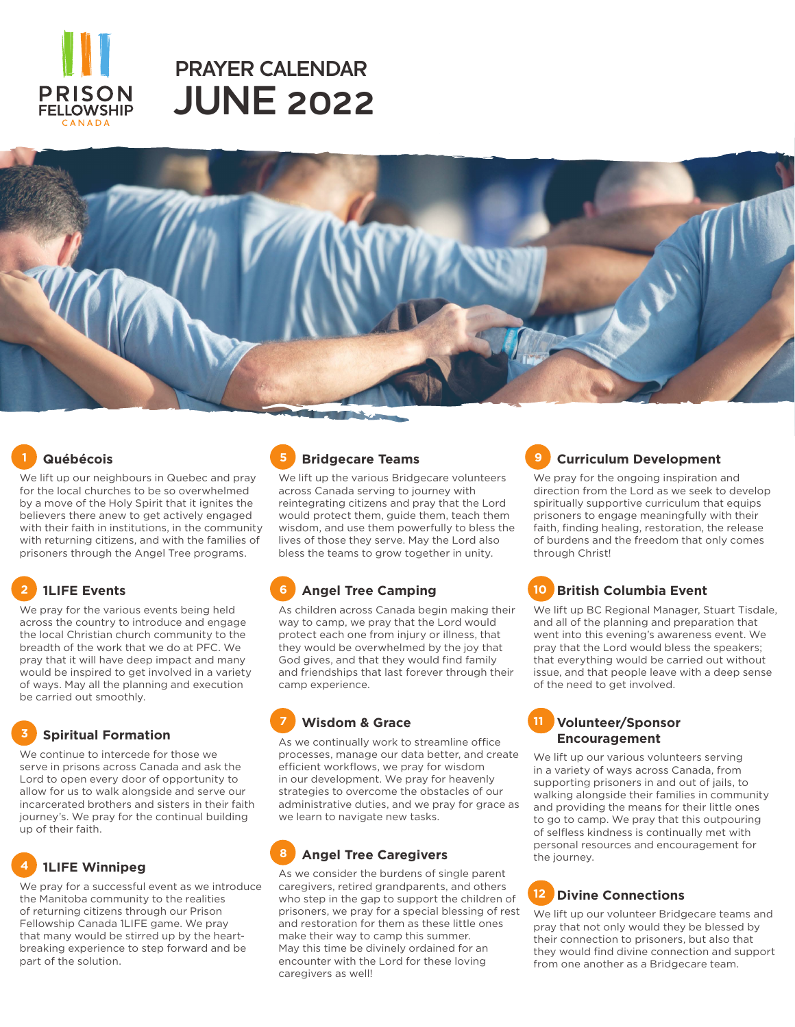

# **JUNE 2022 PRAYER CALENDAR**



#### **1 Québécois**

We lift up our neighbours in Quebec and pray for the local churches to be so overwhelmed by a move of the Holy Spirit that it ignites the believers there anew to get actively engaged with their faith in institutions, in the community with returning citizens, and with the families of prisoners through the Angel Tree programs.

## **2 1LIFE Events**

We pray for the various events being held across the country to introduce and engage the local Christian church community to the breadth of the work that we do at PFC. We pray that it will have deep impact and many would be inspired to get involved in a variety of ways. May all the planning and execution be carried out smoothly.

#### **3 Spiritual Formation**

We continue to intercede for those we serve in prisons across Canada and ask the Lord to open every door of opportunity to allow for us to walk alongside and serve our incarcerated brothers and sisters in their faith journey's. We pray for the continual building up of their faith.

## **4 1LIFE Winnipeg**

We pray for a successful event as we introduce the Manitoba community to the realities of returning citizens through our Prison Fellowship Canada 1LIFE game. We pray that many would be stirred up by the heartbreaking experience to step forward and be part of the solution.

### **5 Bridgecare Teams**

We lift up the various Bridgecare volunteers across Canada serving to journey with reintegrating citizens and pray that the Lord would protect them, guide them, teach them wisdom, and use them powerfully to bless the lives of those they serve. May the Lord also bless the teams to grow together in unity.

### **6 Angel Tree Camping**

As children across Canada begin making their way to camp, we pray that the Lord would protect each one from injury or illness, that they would be overwhelmed by the joy that God gives, and that they would find family and friendships that last forever through their camp experience.

#### **7 Wisdom & Grace**

As we continually work to streamline office processes, manage our data better, and create efficient workflows, we pray for wisdom in our development. We pray for heavenly strategies to overcome the obstacles of our administrative duties, and we pray for grace as we learn to navigate new tasks.

## **8 Angel Tree Caregivers**

As we consider the burdens of single parent caregivers, retired grandparents, and others who step in the gap to support the children of prisoners, we pray for a special blessing of rest and restoration for them as these little ones make their way to camp this summer. May this time be divinely ordained for an encounter with the Lord for these loving caregivers as well!

## **9 Curriculum Development**

We pray for the ongoing inspiration and direction from the Lord as we seek to develop spiritually supportive curriculum that equips prisoners to engage meaningfully with their faith, finding healing, restoration, the release of burdens and the freedom that only comes through Christ!

#### **10 British Columbia Event**

We lift up BC Regional Manager, Stuart Tisdale, and all of the planning and preparation that went into this evening's awareness event. We pray that the Lord would bless the speakers; that everything would be carried out without issue, and that people leave with a deep sense of the need to get involved.

#### **11 Volunteer/Sponsor Encouragement**

We lift up our various volunteers serving in a variety of ways across Canada, from supporting prisoners in and out of jails, to walking alongside their families in community and providing the means for their little ones to go to camp. We pray that this outpouring of selfless kindness is continually met with personal resources and encouragement for the journey.

#### **12 Divine Connections**

We lift up our volunteer Bridgecare teams and pray that not only would they be blessed by their connection to prisoners, but also that they would find divine connection and support from one another as a Bridgecare team.